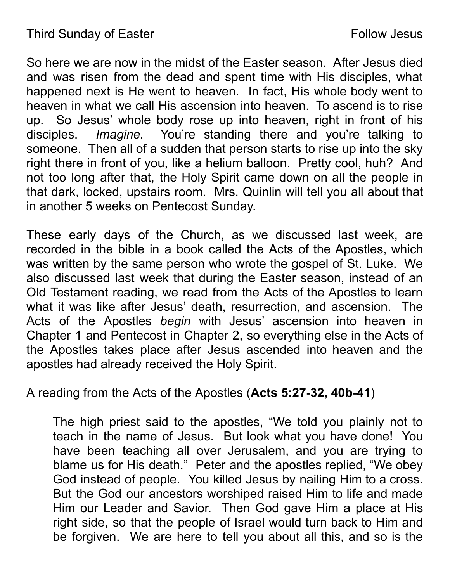So here we are now in the midst of the Easter season. After Jesus died and was risen from the dead and spent time with His disciples, what happened next is He went to heaven. In fact, His whole body went to heaven in what we call His ascension into heaven. To ascend is to rise up. So Jesus' whole body rose up into heaven, right in front of his disciples. *Imagine.* You're standing there and you're talking to someone. Then all of a sudden that person starts to rise up into the sky right there in front of you, like a helium balloon. Pretty cool, huh? And not too long after that, the Holy Spirit came down on all the people in that dark, locked, upstairs room. Mrs. Quinlin will tell you all about that in another 5 weeks on Pentecost Sunday.

These early days of the Church, as we discussed last week, are recorded in the bible in a book called the Acts of the Apostles, which was written by the same person who wrote the gospel of St. Luke. We also discussed last week that during the Easter season, instead of an Old Testament reading, we read from the Acts of the Apostles to learn what it was like after Jesus' death, resurrection, and ascension. The Acts of the Apostles *begin* with Jesus' ascension into heaven in Chapter 1 and Pentecost in Chapter 2, so everything else in the Acts of the Apostles takes place after Jesus ascended into heaven and the apostles had already received the Holy Spirit.

## A reading from the Acts of the Apostles (**Acts 5:27-32, 40b-41**)

The high priest said to the apostles, "We told you plainly not to teach in the name of Jesus. But look what you have done! You have been teaching all over Jerusalem, and you are trying to blame us for His death." Peter and the apostles replied, "We obey God instead of people. You killed Jesus by nailing Him to a cross. But the God our ancestors worshiped raised Him to life and made Him our Leader and Savior. Then God gave Him a place at His right side, so that the people of Israel would turn back to Him and be forgiven. We are here to tell you about all this, and so is the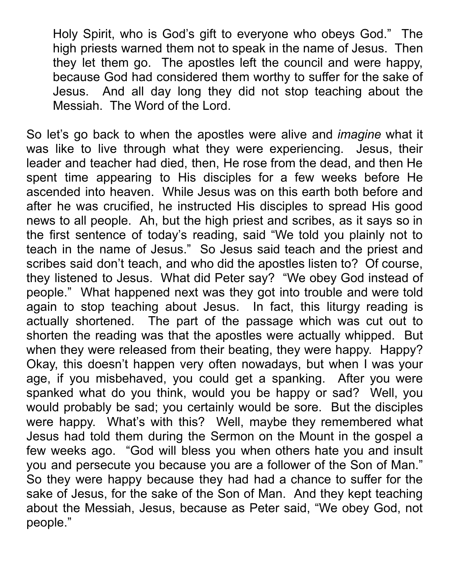Holy Spirit, who is God's gift to everyone who obeys God." The high priests warned them not to speak in the name of Jesus. Then they let them go. The apostles left the council and were happy, because God had considered them worthy to suffer for the sake of Jesus. And all day long they did not stop teaching about the Messiah. The Word of the Lord.

So let's go back to when the apostles were alive and *imagine* what it was like to live through what they were experiencing. Jesus, their leader and teacher had died, then, He rose from the dead, and then He spent time appearing to His disciples for a few weeks before He ascended into heaven. While Jesus was on this earth both before and after he was crucified, he instructed His disciples to spread His good news to all people. Ah, but the high priest and scribes, as it says so in the first sentence of today's reading, said "We told you plainly not to teach in the name of Jesus." So Jesus said teach and the priest and scribes said don't teach, and who did the apostles listen to? Of course, they listened to Jesus. What did Peter say? "We obey God instead of people." What happened next was they got into trouble and were told again to stop teaching about Jesus. In fact, this liturgy reading is actually shortened. The part of the passage which was cut out to shorten the reading was that the apostles were actually whipped. But when they were released from their beating, they were happy. Happy? Okay, this doesn't happen very often nowadays, but when I was your age, if you misbehaved, you could get a spanking. After you were spanked what do you think, would you be happy or sad? Well, you would probably be sad; you certainly would be sore. But the disciples were happy. What's with this? Well, maybe they remembered what Jesus had told them during the Sermon on the Mount in the gospel a few weeks ago. "God will bless you when others hate you and insult you and persecute you because you are a follower of the Son of Man." So they were happy because they had had a chance to suffer for the sake of Jesus, for the sake of the Son of Man. And they kept teaching about the Messiah, Jesus, because as Peter said, "We obey God, not people."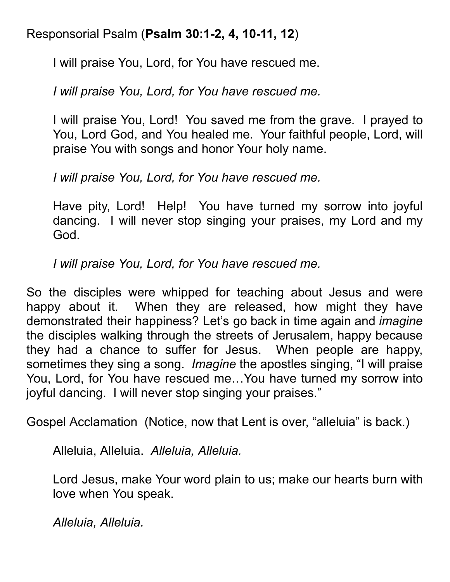## Responsorial Psalm (**Psalm 30:1-2, 4, 10-11, 12**)

I will praise You, Lord, for You have rescued me.

*I will praise You, Lord, for You have rescued me.*

I will praise You, Lord! You saved me from the grave. I prayed to You, Lord God, and You healed me. Your faithful people, Lord, will praise You with songs and honor Your holy name.

*I will praise You, Lord, for You have rescued me.*

Have pity, Lord! Help! You have turned my sorrow into joyful dancing. I will never stop singing your praises, my Lord and my God.

*I will praise You, Lord, for You have rescued me.*

So the disciples were whipped for teaching about Jesus and were happy about it. When they are released, how might they have demonstrated their happiness? Let's go back in time again and *imagine* the disciples walking through the streets of Jerusalem, happy because they had a chance to suffer for Jesus. When people are happy, sometimes they sing a song. *Imagine* the apostles singing, "I will praise You, Lord, for You have rescued me…You have turned my sorrow into joyful dancing. I will never stop singing your praises."

Gospel Acclamation (Notice, now that Lent is over, "alleluia" is back.)

Alleluia, Alleluia. *Alleluia, Alleluia.*

Lord Jesus, make Your word plain to us; make our hearts burn with love when You speak.

*Alleluia, Alleluia.*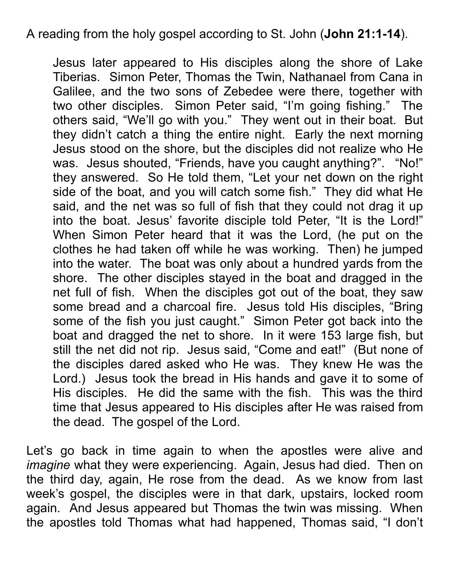A reading from the holy gospel according to St. John (**John 21:1-14**).

Jesus later appeared to His disciples along the shore of Lake Tiberias. Simon Peter, Thomas the Twin, Nathanael from Cana in Galilee, and the two sons of Zebedee were there, together with two other disciples. Simon Peter said, "I'm going fishing." The others said, "We'll go with you." They went out in their boat. But they didn't catch a thing the entire night. Early the next morning Jesus stood on the shore, but the disciples did not realize who He was. Jesus shouted, "Friends, have you caught anything?". "No!" they answered. So He told them, "Let your net down on the right side of the boat, and you will catch some fish." They did what He said, and the net was so full of fish that they could not drag it up into the boat. Jesus' favorite disciple told Peter, "It is the Lord!" When Simon Peter heard that it was the Lord, (he put on the clothes he had taken off while he was working. Then) he jumped into the water. The boat was only about a hundred yards from the shore. The other disciples stayed in the boat and dragged in the net full of fish. When the disciples got out of the boat, they saw some bread and a charcoal fire. Jesus told His disciples, "Bring some of the fish you just caught." Simon Peter got back into the boat and dragged the net to shore. In it were 153 large fish, but still the net did not rip. Jesus said, "Come and eat!" (But none of the disciples dared asked who He was. They knew He was the Lord.) Jesus took the bread in His hands and gave it to some of His disciples. He did the same with the fish. This was the third time that Jesus appeared to His disciples after He was raised from the dead. The gospel of the Lord.

Let's go back in time again to when the apostles were alive and *imagine* what they were experiencing. Again, Jesus had died. Then on the third day, again, He rose from the dead. As we know from last week's gospel, the disciples were in that dark, upstairs, locked room again. And Jesus appeared but Thomas the twin was missing. When the apostles told Thomas what had happened, Thomas said, "I don't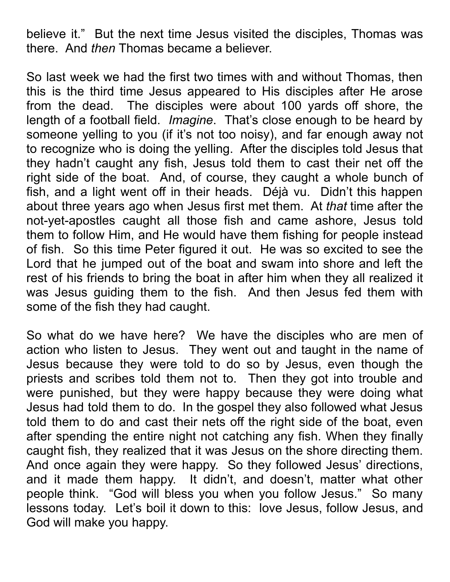believe it." But the next time Jesus visited the disciples, Thomas was there. And *then* Thomas became a believer.

So last week we had the first two times with and without Thomas, then this is the third time Jesus appeared to His disciples after He arose from the dead. The disciples were about 100 yards off shore, the length of a football field. *Imagine*. That's close enough to be heard by someone yelling to you (if it's not too noisy), and far enough away not to recognize who is doing the yelling. After the disciples told Jesus that they hadn't caught any fish, Jesus told them to cast their net off the right side of the boat. And, of course, they caught a whole bunch of fish, and a light went off in their heads. Déjà vu. Didn't this happen about three years ago when Jesus first met them. At *that* time after the not-yet-apostles caught all those fish and came ashore, Jesus told them to follow Him, and He would have them fishing for people instead of fish. So this time Peter figured it out. He was so excited to see the Lord that he jumped out of the boat and swam into shore and left the rest of his friends to bring the boat in after him when they all realized it was Jesus guiding them to the fish. And then Jesus fed them with some of the fish they had caught.

So what do we have here? We have the disciples who are men of action who listen to Jesus. They went out and taught in the name of Jesus because they were told to do so by Jesus, even though the priests and scribes told them not to. Then they got into trouble and were punished, but they were happy because they were doing what Jesus had told them to do. In the gospel they also followed what Jesus told them to do and cast their nets off the right side of the boat, even after spending the entire night not catching any fish. When they finally caught fish, they realized that it was Jesus on the shore directing them. And once again they were happy. So they followed Jesus' directions, and it made them happy. It didn't, and doesn't, matter what other people think. "God will bless you when you follow Jesus." So many lessons today. Let's boil it down to this: love Jesus, follow Jesus, and God will make you happy.